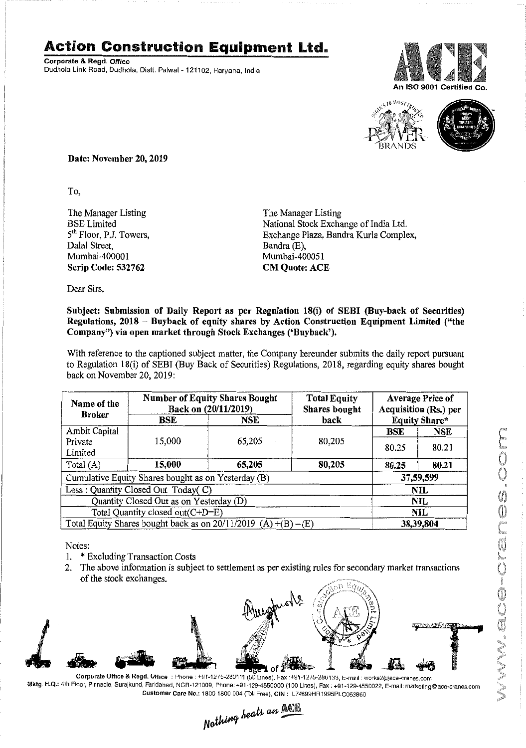## **Action Construction Equipment Ltd.**

Corporate & Read, Office Dudhola Link Road, Dudhola, Distt. Palwal - 121102, Haryana, India





Date: November 20, 2019

To.

The Manager Listing **BSE** Limited 5<sup>th</sup> Floor, P.J. Towers, Dalal Street, Mumbai-400001 Scrip Code: 532762

The Manager Listing National Stock Exchange of India Ltd. Exchange Plaza, Bandra Kurla Complex, Bandra (E), Mumbai-400051 **CM Quote: ACE** 

Dear Sirs,

## Subject: Submission of Daily Report as per Regulation 18(i) of SEBI (Buy-back of Securities) Regulations, 2018 – Buyback of equity shares by Action Construction Equipment Limited ("the Company") via open market through Stock Exchanges ('Buyback').

With reference to the captioned subject matter, the Company hereunder submits the daily report pursuant to Regulation 18(i) of SEBI (Buy Back of Securities) Regulations, 2018, regarding equity shares bought back on November 20, 2019:

| Name of the<br><b>Broker</b>                                      | <b>Number of Equity Shares Bought</b><br>Back on (20/11/2019) |        | <b>Total Equity</b><br>Shares bought | <b>Average Price of</b><br>Acquisition (Rs.) per |            |  |
|-------------------------------------------------------------------|---------------------------------------------------------------|--------|--------------------------------------|--------------------------------------------------|------------|--|
|                                                                   | BSE                                                           | NSE    | back                                 | <b>Equity Share*</b>                             |            |  |
| Ambit Capital                                                     |                                                               |        |                                      | BSE                                              | <b>NSE</b> |  |
| Private<br>Limited                                                | 15,000                                                        | 65,205 | 80,205                               | 80.25                                            | 80.21      |  |
| Total $(A)$                                                       | 15,000                                                        | 65,205 | 80,205                               | 80.25                                            | 80.21      |  |
| Cumulative Equity Shares bought as on Yesterday (B)               |                                                               |        |                                      |                                                  | 37,59,599  |  |
| Less: Quantity Closed Out Today(C)                                |                                                               |        |                                      | <b>NIL</b>                                       |            |  |
| Quantity Closed Out as on Yesterday (D)                           |                                                               |        |                                      | NIL.                                             |            |  |
| Total Quantity closed out(C+D=E)                                  |                                                               |        |                                      | NIL                                              |            |  |
| Total Equity Shares bought back as on $20/11/2019$ (A) +(B) – (E) |                                                               |        |                                      | 38,39,804                                        |            |  |

Notes:

- 1. \* Excluding Transaction Costs
- 2. The above information is subject to settlement as per existing rules for secondary market transactions of the stock exchanges.



Corporate Office & Regd. Office: Phone: +91-1275-280111 (50 Lines), Fax:+91-1275-280133, E-mail: works2kdace-cranes.com Mktg. H.Q.: 4th Floor, Pinnacle, Surajkund, Faridabad, NCR-121009, Phone: +91-129-4550000 (100 Lines), Fax: +91-129-4550022, E-mail: marketing@ace-cranes.com Customer Care No.: 1800 1800 004 (Toll Free), CIN: L74899HR1995PLC053860

Nothing beats an ACE